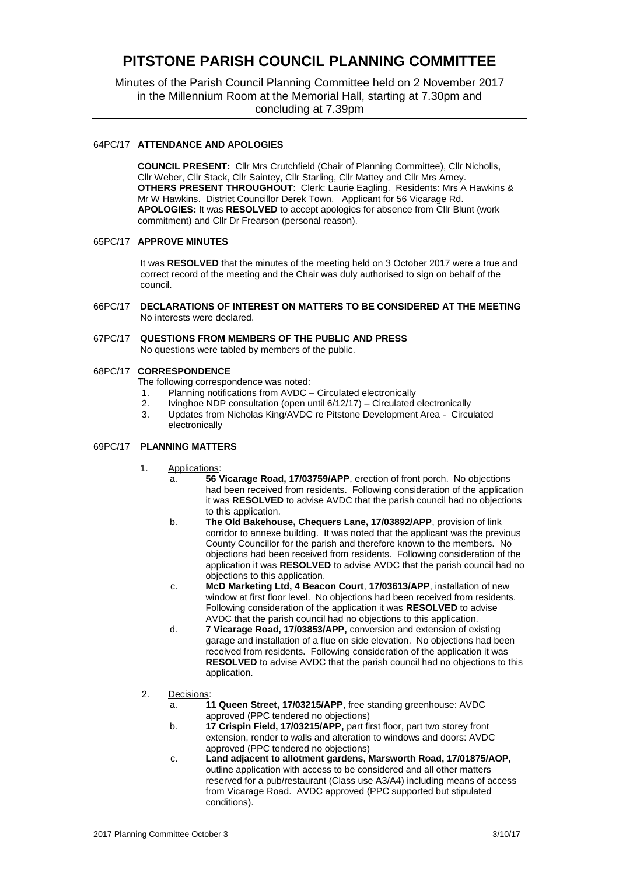# **PITSTONE PARISH COUNCIL PLANNING COMMITTEE**

Minutes of the Parish Council Planning Committee held on 2 November 2017 in the Millennium Room at the Memorial Hall, starting at 7.30pm and concluding at 7.39pm

## 64PC/17 **ATTENDANCE AND APOLOGIES**

**COUNCIL PRESENT:** Cllr Mrs Crutchfield (Chair of Planning Committee), Cllr Nicholls, Cllr Weber, Cllr Stack, Cllr Saintey, Cllr Starling, Cllr Mattey and Cllr Mrs Arney. **OTHERS PRESENT THROUGHOUT**: Clerk: Laurie Eagling. Residents: Mrs A Hawkins & Mr W Hawkins. District Councillor Derek Town. Applicant for 56 Vicarage Rd. **APOLOGIES:** It was **RESOLVED** to accept apologies for absence from Cllr Blunt (work commitment) and Cllr Dr Frearson (personal reason).

#### 65PC/17 **APPROVE MINUTES**

It was **RESOLVED** that the minutes of the meeting held on 3 October 2017 were a true and correct record of the meeting and the Chair was duly authorised to sign on behalf of the council.

- 66PC/17 **DECLARATIONS OF INTEREST ON MATTERS TO BE CONSIDERED AT THE MEETING** No interests were declared.
- 67PC/17 **QUESTIONS FROM MEMBERS OF THE PUBLIC AND PRESS** No questions were tabled by members of the public.

# 68PC/17 **CORRESPONDENCE**

The following correspondence was noted:

- 1. Planning notifications from AVDC Circulated electronically
- 2. Ivinghoe NDP consultation (open until 6/12/17) Circulated electronically<br>3. Lindates from Nicholas King/AVDC re Pitstone Development Area Circu
- 3. Updates from Nicholas King/AVDC re Pitstone Development Area Circulated electronically

#### 69PC/17 **PLANNING MATTERS**

- 1. Applications:
	- a. **56 Vicarage Road, 17/03759/APP**, erection of front porch. No objections had been received from residents. Following consideration of the application it was **RESOLVED** to advise AVDC that the parish council had no objections to this application.
	- b. **The Old Bakehouse, Chequers Lane, 17/03892/APP**, provision of link corridor to annexe building. It was noted that the applicant was the previous County Councillor for the parish and therefore known to the members. No objections had been received from residents. Following consideration of the application it was **RESOLVED** to advise AVDC that the parish council had no objections to this application.
	- c. **McD Marketing Ltd, 4 Beacon Court**, **17/03613/APP**, installation of new window at first floor level. No objections had been received from residents. Following consideration of the application it was **RESOLVED** to advise AVDC that the parish council had no objections to this application.
	- d. **7 Vicarage Road, 17/03853/APP,** conversion and extension of existing garage and installation of a flue on side elevation. No objections had been received from residents. Following consideration of the application it was **RESOLVED** to advise AVDC that the parish council had no objections to this application.
- 2. Decisions:
	- a. **11 Queen Street, 17/03215/APP**, free standing greenhouse: AVDC approved (PPC tendered no objections)
	- b. **17 Crispin Field, 17/03215/APP,** part first floor, part two storey front extension, render to walls and alteration to windows and doors: AVDC approved (PPC tendered no objections)
	- c. **Land adjacent to allotment gardens, Marsworth Road, 17/01875/AOP,**  outline application with access to be considered and all other matters reserved for a pub/restaurant (Class use A3/A4) including means of access from Vicarage Road. AVDC approved (PPC supported but stipulated conditions).